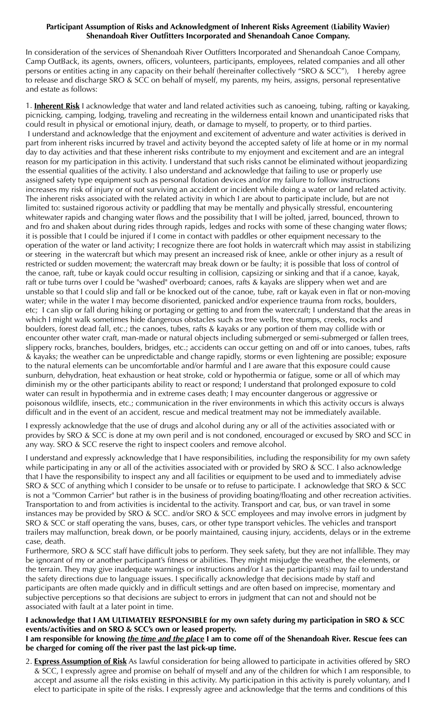## **Participant Assumption of Risks and Acknowledgment of Inherent Risks Agreement (Liability Wavier) Shenandoah River Outfitters Incorporated and Shenandoah Canoe Company.**

In consideration of the services of Shenandoah River Outfitters Incorporated and Shenandoah Canoe Company, Camp OutBack, its agents, owners, officers, volunteers, participants, employees, related companies and all other persons or entities acting in any capacity on their behalf (hereinafter collectively "SRO & SCC"), I hereby agree to release and discharge SRO & SCC on behalf of myself, my parents, my heirs, assigns, personal representative and estate as follows:

1. **Inherent Risk** I acknowledge that water and land related activities such as canoeing, tubing, rafting or kayaking, picnicking, camping, lodging, traveling and recreating in the wilderness entail known and unanticipated risks that could result in physical or emotional injury, death, or damage to myself, to property, or to third parties. I understand and acknowledge that the enjoyment and excitement of adventure and water activities is derived in part from inherent risks incurred by travel and activity beyond the accepted safety of life at home or in my normal day to day activities and that these inherent risks contribute to my enjoyment and excitement and are an integral reason for my participation in this activity. I understand that such risks cannot be eliminated without jeopardizing the essential qualities of the activity. I also understand and acknowledge that failing to use or properly use assigned safety type equipment such as personal flotation devices and/or my failure to follow instructions increases my risk of injury or of not surviving an accident or incident while doing a water or land related activity. The inherent risks associated with the related activity in which I are about to participate include, but are not limited to: sustained rigorous activity or paddling that may be mentally and physically stressful, encountering whitewater rapids and changing water flows and the possibility that I will be jolted, jarred, bounced, thrown to and fro and shaken about during rides through rapids, ledges and rocks with some of these changing water flows; it is possible that I could be injured if I come in contact with paddles or other equipment necessary to the operation of the water or land activity; I recognize there are foot holds in watercraft which may assist in stabilizing or steering in the watercraft but which may present an increased risk of knee, ankle or other injury as a result of restricted or sudden movement; the watercraft may break down or be faulty; it is possible that loss of control of the canoe, raft, tube or kayak could occur resulting in collision, capsizing or sinking and that if a canoe, kayak, raft or tube turns over I could be "washed" overboard; canoes, rafts & kayaks are slippery when wet and are unstable so that I could slip and fall or be knocked out of the canoe, tube, raft or kayak even in flat or non-moving water; while in the water I may become disoriented, panicked and/or experience trauma from rocks, boulders, etc; I can slip or fall during hiking or portaging or getting to and from the watercraft; I understand that the areas in which I might walk sometimes hide dangerous obstacles such as tree wells, tree stumps, creeks, rocks and boulders, forest dead fall, etc.; the canoes, tubes, rafts & kayaks or any portion of them may collide with or encounter other water craft, man-made or natural objects including submerged or semi-submerged or fallen trees, slippery rocks, branches, boulders, bridges, etc.; accidents can occur getting on and off or into canoes, tubes, rafts & kayaks; the weather can be unpredictable and change rapidly, storms or even lightening are possible; exposure to the natural elements can be uncomfortable and/or harmful and I are aware that this exposure could cause sunburn, dehydration, heat exhaustion or heat stroke, cold or hypothermia or fatigue, some or all of which may diminish my or the other participants ability to react or respond; I understand that prolonged exposure to cold water can result in hypothermia and in extreme cases death; I may encounter dangerous or aggressive or poisonous wildlife, insects, etc.; communication in the river environments in which this activity occurs is always difficult and in the event of an accident, rescue and medical treatment may not be immediately available.

I expressly acknowledge that the use of drugs and alcohol during any or all of the activities associated with or provides by SRO & SCC is done at my own peril and is not condoned, encouraged or excused by SRO and SCC in any way. SRO & SCC reserve the right to inspect coolers and remove alcohol.

I understand and expressly acknowledge that I have responsibilities, including the responsibility for my own safety while participating in any or all of the activities associated with or provided by SRO & SCC. I also acknowledge that I have the responsibility to inspect any and all facilities or equipment to be used and to immediately advise SRO & SCC of anything which I consider to be unsafe or to refuse to participate. I acknowledge that SRO & SCC is not a "Common Carrier" but rather is in the business of providing boating/floating and other recreation activities. Transportation to and from activities is incidental to the activity. Transport and car, bus, or van travel in some instances may be provided by SRO & SCC. and/or SRO & SCC employees and may involve errors in judgment by SRO & SCC or staff operating the vans, buses, cars, or other type transport vehicles. The vehicles and transport trailers may malfunction, break down, or be poorly maintained, causing injury, accidents, delays or in the extreme case, death.

Furthermore, SRO & SCC staff have difficult jobs to perform. They seek safety, but they are not infallible. They may be ignorant of my or another participant's fitness or abilities. They might misjudge the weather, the elements, or the terrain. They may give inadequate warnings or instructions and/or I as the participant(s) may fail to understand the safety directions due to language issues. I specifically acknowledge that decisions made by staff and participants are often made quickly and in difficult settings and are often based on imprecise, momentary and subjective perceptions so that decisions are subject to errors in judgment that can not and should not be associated with fault at a later point in time.

## **I acknowledge that I AM ULTIMATELY RESPONSIBLE for my own safety during my participation in SRO & SCC events/activities and on SRO & SCC's own or leased property.**

## **I am responsible for knowing** *the time and the place* **I am to come off of the Shenandoah River. Rescue fees can be charged for coming off the river past the last pick-up time.**

2. **Express Assumption of Risk** As lawful consideration for being allowed to participate in activities offered by SRO & SCC, I expressly agree and promise on behalf of myself and any of the children for which I am responsible, to accept and assume all the risks existing in this activity. My participation in this activity is purely voluntary, and I elect to participate in spite of the risks. I expressly agree and acknowledge that the terms and conditions of this